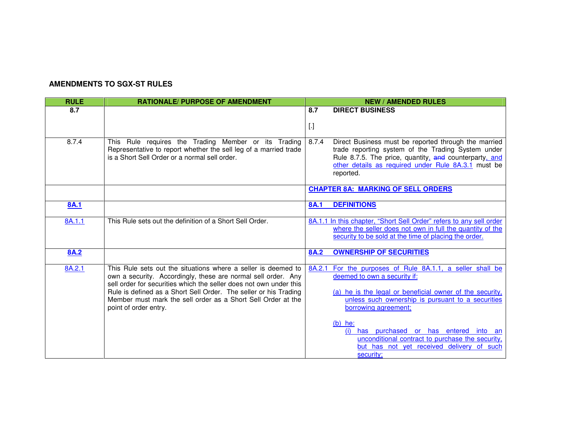## **AMENDMENTS TO SGX-ST RULES**

| <b>RULE</b> | <b>RATIONALE/ PURPOSE OF AMENDMENT</b>                                                                                                                                                                                                                                                                                                                            | <b>NEW / AMENDED RULES</b>                                                                                                                                                                                                                        |  |  |  |  |
|-------------|-------------------------------------------------------------------------------------------------------------------------------------------------------------------------------------------------------------------------------------------------------------------------------------------------------------------------------------------------------------------|---------------------------------------------------------------------------------------------------------------------------------------------------------------------------------------------------------------------------------------------------|--|--|--|--|
| 8.7         |                                                                                                                                                                                                                                                                                                                                                                   | 8.7<br><b>DIRECT BUSINESS</b>                                                                                                                                                                                                                     |  |  |  |  |
|             |                                                                                                                                                                                                                                                                                                                                                                   |                                                                                                                                                                                                                                                   |  |  |  |  |
|             |                                                                                                                                                                                                                                                                                                                                                                   | $[.]$                                                                                                                                                                                                                                             |  |  |  |  |
| 8.7.4       | This Rule requires the Trading Member or its Trading<br>Representative to report whether the sell leg of a married trade<br>is a Short Sell Order or a normal sell order.                                                                                                                                                                                         | 8.7.4<br>Direct Business must be reported through the married<br>trade reporting system of the Trading System under<br>Rule 8.7.5. The price, quantity, and counterparty, and<br>other details as required under Rule 8A.3.1 must be<br>reported. |  |  |  |  |
|             |                                                                                                                                                                                                                                                                                                                                                                   | <b>CHAPTER 8A: MARKING OF SELL ORDERS</b>                                                                                                                                                                                                         |  |  |  |  |
| 8A.1        |                                                                                                                                                                                                                                                                                                                                                                   | <b>DEFINITIONS</b><br><b>8A.1</b>                                                                                                                                                                                                                 |  |  |  |  |
| 8A.1.1      | This Rule sets out the definition of a Short Sell Order.                                                                                                                                                                                                                                                                                                          | 8A.1.1 In this chapter, "Short Sell Order" refers to any sell order<br>where the seller does not own in full the quantity of the<br>security to be sold at the time of placing the order.                                                         |  |  |  |  |
| <b>8A.2</b> |                                                                                                                                                                                                                                                                                                                                                                   | <b>OWNERSHIP OF SECURITIES</b><br><b>8A.2</b>                                                                                                                                                                                                     |  |  |  |  |
| 8A.2.1      | This Rule sets out the situations where a seller is deemed to<br>own a security. Accordingly, these are normal sell order. Any<br>sell order for securities which the seller does not own under this<br>Rule is defined as a Short Sell Order. The seller or his Trading<br>Member must mark the sell order as a Short Sell Order at the<br>point of order entry. | 8A.2.1 For the purposes of Rule 8A.1.1, a seller shall be<br>deemed to own a security if:<br>(a) he is the legal or beneficial owner of the security.<br>unless such ownership is pursuant to a securities<br>borrowing agreement;                |  |  |  |  |
|             |                                                                                                                                                                                                                                                                                                                                                                   | $(b)$ he:<br>(i) has purchased or has entered into an<br>unconditional contract to purchase the security,<br>but has not yet received delivery of such<br>security;                                                                               |  |  |  |  |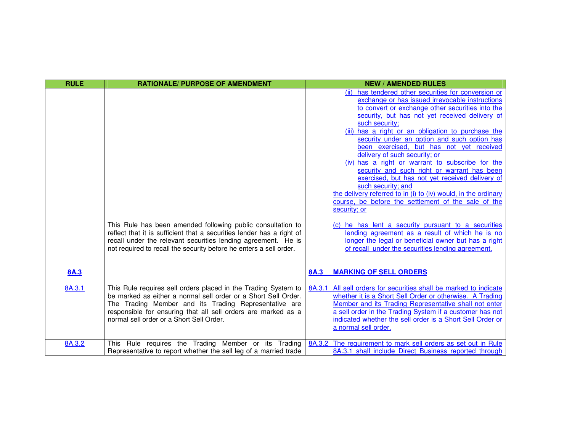| <b>RULE</b> | <b>RATIONALE/ PURPOSE OF AMENDMENT</b>                                                                                                                                                                                                                                                                 | <b>NEW / AMENDED RULES</b>                                                                                                                                                                                                                                                                                                                                                                                                                                                                                                                                                                                                                                                                                                                                                                                                                                                                                                                                     |
|-------------|--------------------------------------------------------------------------------------------------------------------------------------------------------------------------------------------------------------------------------------------------------------------------------------------------------|----------------------------------------------------------------------------------------------------------------------------------------------------------------------------------------------------------------------------------------------------------------------------------------------------------------------------------------------------------------------------------------------------------------------------------------------------------------------------------------------------------------------------------------------------------------------------------------------------------------------------------------------------------------------------------------------------------------------------------------------------------------------------------------------------------------------------------------------------------------------------------------------------------------------------------------------------------------|
|             | This Rule has been amended following public consultation to<br>reflect that it is sufficient that a securities lender has a right of<br>recall under the relevant securities lending agreement. He is<br>not required to recall the security before he enters a sell order.                            | (ii) has tendered other securities for conversion or<br>exchange or has issued irrevocable instructions<br>to convert or exchange other securities into the<br>security, but has not yet received delivery of<br>such security;<br>(iii) has a right or an obligation to purchase the<br>security under an option and such option has<br>been exercised, but has not yet received<br>delivery of such security; or<br>(iv) has a right or warrant to subscribe for the<br>security and such right or warrant has been<br>exercised, but has not yet received delivery of<br>such security; and<br>the delivery referred to in (i) to (iv) would, in the ordinary<br>course, be before the settlement of the sale of the<br>security; or<br>(c) he has lent a security pursuant to a securities<br>lending agreement as a result of which he is no<br>longer the legal or beneficial owner but has a right<br>of recall under the securities lending agreement. |
| <b>8A.3</b> |                                                                                                                                                                                                                                                                                                        | <b>MARKING OF SELL ORDERS</b><br><b>8A.3</b>                                                                                                                                                                                                                                                                                                                                                                                                                                                                                                                                                                                                                                                                                                                                                                                                                                                                                                                   |
| 8A.3.1      | This Rule requires sell orders placed in the Trading System to<br>be marked as either a normal sell order or a Short Sell Order.<br>The Trading Member and its Trading Representative are<br>responsible for ensuring that all sell orders are marked as a<br>normal sell order or a Short Sell Order. | All sell orders for securities shall be marked to indicate<br>8A.3.1<br>whether it is a Short Sell Order or otherwise. A Trading<br>Member and its Trading Representative shall not enter<br>a sell order in the Trading System if a customer has not<br>indicated whether the sell order is a Short Sell Order or<br>a normal sell order.                                                                                                                                                                                                                                                                                                                                                                                                                                                                                                                                                                                                                     |
| 8A.3.2      | This Rule requires the Trading Member or its Trading<br>Representative to report whether the sell leg of a married trade                                                                                                                                                                               | 8A.3.2 The requirement to mark sell orders as set out in Rule<br>8A.3.1 shall include Direct Business reported through                                                                                                                                                                                                                                                                                                                                                                                                                                                                                                                                                                                                                                                                                                                                                                                                                                         |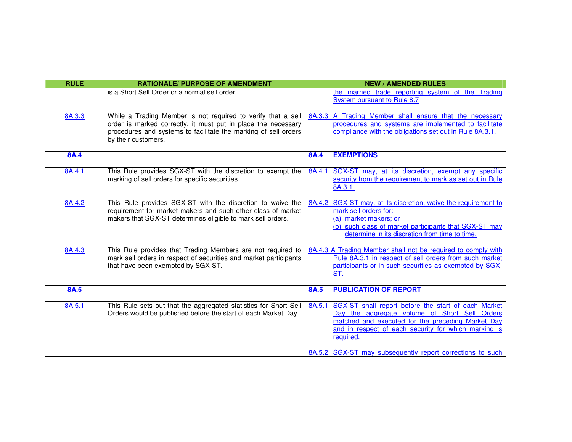| <b>RULE</b> | <b>RATIONALE/ PURPOSE OF AMENDMENT</b>                                                                                                                                                                                  | <b>NEW / AMENDED RULES</b>                                                                                                                                                                                                               |
|-------------|-------------------------------------------------------------------------------------------------------------------------------------------------------------------------------------------------------------------------|------------------------------------------------------------------------------------------------------------------------------------------------------------------------------------------------------------------------------------------|
|             | is a Short Sell Order or a normal sell order.                                                                                                                                                                           | the married trade reporting system of the Trading<br>System pursuant to Rule 8.7                                                                                                                                                         |
| 8A.3.3      | While a Trading Member is not required to verify that a sell<br>order is marked correctly, it must put in place the necessary<br>procedures and systems to facilitate the marking of sell orders<br>by their customers. | 8A.3.3 A Trading Member shall ensure that the necessary<br>procedures and systems are implemented to facilitate<br>compliance with the obligations set out in Rule 8A.3.1.                                                               |
| <b>8A.4</b> |                                                                                                                                                                                                                         | <b>EXEMPTIONS</b><br><b>8A.4</b>                                                                                                                                                                                                         |
| 8A.4.1      | This Rule provides SGX-ST with the discretion to exempt the<br>marking of sell orders for specific securities.                                                                                                          | SGX-ST may, at its discretion, exempt any specific<br>8A.4.1<br>security from the requirement to mark as set out in Rule<br>8A.3.1.                                                                                                      |
| 8A.4.2      | This Rule provides SGX-ST with the discretion to waive the<br>requirement for market makers and such other class of market<br>makers that SGX-ST determines eligible to mark sell orders.                               | SGX-ST may, at its discretion, waive the requirement to<br>8A.4.2<br>mark sell orders for:<br>(a) market makers; or<br>(b) such class of market participants that SGX-ST may<br>determine in its discretion from time to time.           |
| 8A.4.3      | This Rule provides that Trading Members are not required to<br>mark sell orders in respect of securities and market participants<br>that have been exempted by SGX-ST.                                                  | 8A.4.3 A Trading Member shall not be required to comply with<br>Rule 8A.3.1 in respect of sell orders from such market<br>participants or in such securities as exempted by SGX-<br>ST.                                                  |
| 8A.5        |                                                                                                                                                                                                                         | <b>PUBLICATION OF REPORT</b><br><b>8A.5</b>                                                                                                                                                                                              |
| 8A.5.1      | This Rule sets out that the aggregated statistics for Short Sell<br>Orders would be published before the start of each Market Day.                                                                                      | SGX-ST shall report before the start of each Market<br>8A.5.1<br>Day the aggregate volume of Short Sell Orders<br>matched and executed for the preceding Market Day<br>and in respect of each security for which marking is<br>required. |
|             |                                                                                                                                                                                                                         | 8A.5.2 SGX-ST may subsequently report corrections to such                                                                                                                                                                                |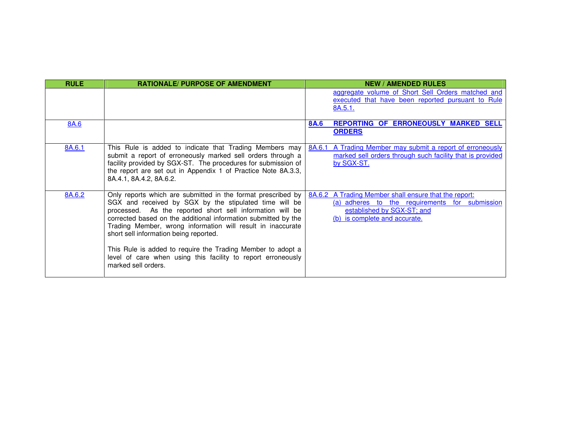| <b>RULE</b> | <b>RATIONALE/ PURPOSE OF AMENDMENT</b>                                                                                                                                                                                                                                                                                                                                                                                                                                                                               | <b>NEW / AMENDED RULES</b>                                                                                                                                             |
|-------------|----------------------------------------------------------------------------------------------------------------------------------------------------------------------------------------------------------------------------------------------------------------------------------------------------------------------------------------------------------------------------------------------------------------------------------------------------------------------------------------------------------------------|------------------------------------------------------------------------------------------------------------------------------------------------------------------------|
|             |                                                                                                                                                                                                                                                                                                                                                                                                                                                                                                                      | aggregate volume of Short Sell Orders matched and<br>executed that have been reported pursuant to Rule<br>8A.5.1.                                                      |
| 8A.6        |                                                                                                                                                                                                                                                                                                                                                                                                                                                                                                                      | REPORTING OF ERRONEOUSLY MARKED SELL<br><b>8A.6</b><br><b>ORDERS</b>                                                                                                   |
| 8A.6.1      | This Rule is added to indicate that Trading Members may<br>submit a report of erroneously marked sell orders through a<br>facility provided by SGX-ST. The procedures for submission of<br>the report are set out in Appendix 1 of Practice Note 8A.3.3,<br>8A.4.1, 8A.4.2, 8A.6.2.                                                                                                                                                                                                                                  | 8A.6.1<br>A Trading Member may submit a report of erroneously<br>marked sell orders through such facility that is provided<br>by SGX-ST.                               |
| 8A.6.2      | Only reports which are submitted in the format prescribed by<br>SGX and received by SGX by the stipulated time will be<br>processed. As the reported short sell information will be<br>corrected based on the additional information submitted by the<br>Trading Member, wrong information will result in inaccurate<br>short sell information being reported.<br>This Rule is added to require the Trading Member to adopt a<br>level of care when using this facility to report erroneously<br>marked sell orders. | 8A.6.2 A Trading Member shall ensure that the report:<br>(a) adheres to the requirements for submission<br>established by SGX-ST; and<br>(b) is complete and accurate. |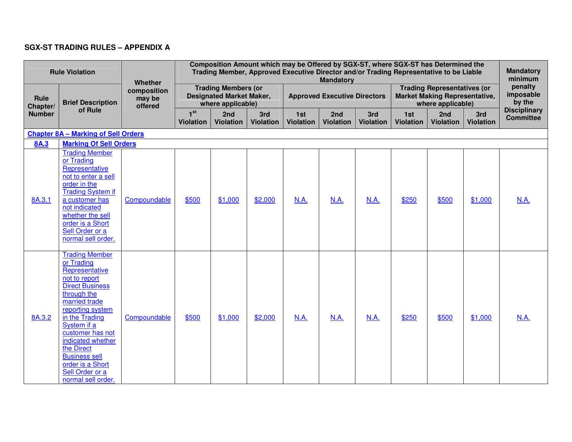## **SGX-ST TRADING RULES – APPENDIX A**

| <b>Rule Violation</b>             |                                                                                                                                                                                                                                                                                                                                   | Whether                          | Composition Amount which may be Offered by SGX-ST, where SGX-ST has Determined the<br>Trading Member, Approved Executive Director and/or Trading Representative to be Liable<br><b>Mandatory</b> |                         |                         |                                     |                  |                         |                                                                                                 |                         | <b>Mandatory</b><br>minimum |                                         |
|-----------------------------------|-----------------------------------------------------------------------------------------------------------------------------------------------------------------------------------------------------------------------------------------------------------------------------------------------------------------------------------|----------------------------------|--------------------------------------------------------------------------------------------------------------------------------------------------------------------------------------------------|-------------------------|-------------------------|-------------------------------------|------------------|-------------------------|-------------------------------------------------------------------------------------------------|-------------------------|-----------------------------|-----------------------------------------|
| Rule<br>Chapter/<br><b>Number</b> | <b>Brief Description</b><br>of Rule                                                                                                                                                                                                                                                                                               | composition<br>may be<br>offered | <b>Trading Members (or</b><br><b>Designated Market Maker,</b><br>where applicable)                                                                                                               |                         |                         | <b>Approved Executive Directors</b> |                  |                         | <b>Trading Representatives (or</b><br><b>Market Making Representative,</b><br>where applicable) |                         |                             | penalty<br>imposable<br>by the          |
|                                   |                                                                                                                                                                                                                                                                                                                                   |                                  | 1 <sup>st</sup><br><b>Violation</b>                                                                                                                                                              | 2nd<br><b>Violation</b> | 3rd<br><b>Violation</b> | 1st<br><b>Violation</b>             | 2nd<br>Violation | 3rd<br><b>Violation</b> | 1st<br><b>Violation</b>                                                                         | 2nd<br><b>Violation</b> | 3rd<br><b>Violation</b>     | <b>Disciplinary</b><br><b>Committee</b> |
|                                   | <b>Chapter 8A - Marking of Sell Orders</b>                                                                                                                                                                                                                                                                                        |                                  |                                                                                                                                                                                                  |                         |                         |                                     |                  |                         |                                                                                                 |                         |                             |                                         |
| <b>8A.3</b>                       | <b>Marking Of Sell Orders</b>                                                                                                                                                                                                                                                                                                     |                                  |                                                                                                                                                                                                  |                         |                         |                                     |                  |                         |                                                                                                 |                         |                             |                                         |
| 8A.3.1                            | <b>Trading Member</b><br>or Trading<br>Representative<br>not to enter a sell<br>order in the<br><b>Trading System if</b><br>a customer has<br>not indicated<br>whether the sell<br>order is a Short<br>Sell Order or a<br>normal sell order.                                                                                      | Compoundable                     | \$500                                                                                                                                                                                            | \$1,000                 | \$2,000                 | <b>N.A.</b>                         | N.A.             | N.A.                    | \$250                                                                                           | \$500                   | \$1,000                     | N.A.                                    |
| 8A.3.2                            | <b>Trading Member</b><br>or Trading<br>Representative<br>not to report<br><b>Direct Business</b><br>through the<br>married trade<br>reporting system<br>in the Trading<br>System if a<br>customer has not<br>indicated whether<br>the Direct<br><b>Business sell</b><br>order is a Short<br>Sell Order or a<br>normal sell order. | Compoundable                     | \$500                                                                                                                                                                                            | \$1,000                 | \$2,000                 | N.A.                                | N.A.             | N.A.                    | \$250                                                                                           | \$500                   | \$1,000                     | N.A.                                    |